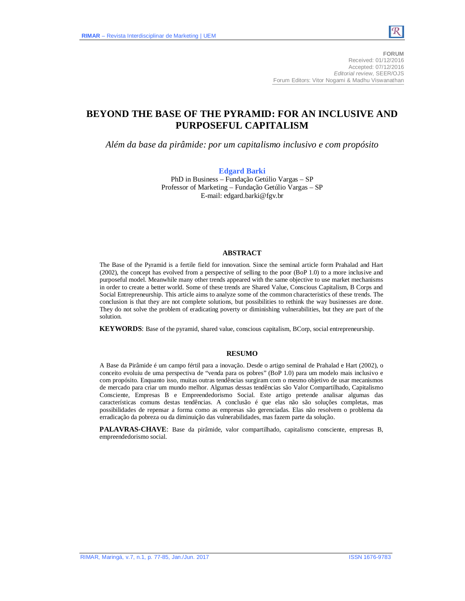

**FORUM** Received: 01/12/2016 Accepted: 07/12/2016 *Editorial review*, SEER/OJS Forum Editors: Vitor Nogami & Madhu Viswanathan

# **BEYOND THE BASE OF THE PYRAMID: FOR AN INCLUSIVE AND PURPOSEFUL CAPITALISM**

*Além da base da pirâmide: por um capitalismo inclusivo e com propósito*

#### **Edgard Barki**

PhD in Business – Fundação Getúlio Vargas – SP Professor of Marketing – Fundação Getúlio Vargas – SP E-mail: edgard.barki@fgv.br

#### **ABSTRACT**

The Base of the Pyramid is a fertile field for innovation. Since the seminal article form Prahalad and Hart (2002), the concept has evolved from a perspective of selling to the poor (BoP 1.0) to a more inclusive and purposeful model. Meanwhile many other trends appeared with the same objective to use market mechanisms in order to create a better world. Some of these trends are Shared Value, Conscious Capitalism, B Corps and Social Entrepreneurship. This article aims to analyze some of the common characteristics of these trends. The conclusion is that they are not complete solutions, but possibilities to rethink the way businesses are done. They do not solve the problem of eradicating poverty or diminishing vulnerabilities, but they are part of the solution.

**KEYWORDS**: Base of the pyramid, shared value, conscious capitalism, BCorp, social entrepreneurship.

#### **RESUMO**

A Base da Pirâmide é um campo fértil para a inovação. Desde o artigo seminal de Prahalad e Hart (2002), o conceito evoluiu de uma perspectiva de "venda para os pobres" (BoP 1.0) para um modelo mais inclusivo e com propósito. Enquanto isso, muitas outras tendências surgiram com o mesmo objetivo de usar mecanismos de mercado para criar um mundo melhor. Algumas dessas tendências são Valor Compartilhado, Capitalismo Consciente, Empresas B e Empreendedorismo Social. Este artigo pretende analisar algumas das características comuns destas tendências. A conclusão é que elas não são soluções completas, mas possibilidades de repensar a forma como as empresas são gerenciadas. Elas não resolvem o problema da erradicação da pobreza ou da diminuição das vulnerabilidades, mas fazem parte da solução.

**PALAVRAS-CHAVE**: Base da pirâmide, valor compartilhado, capitalismo consciente, empresas B, empreendedorismo social.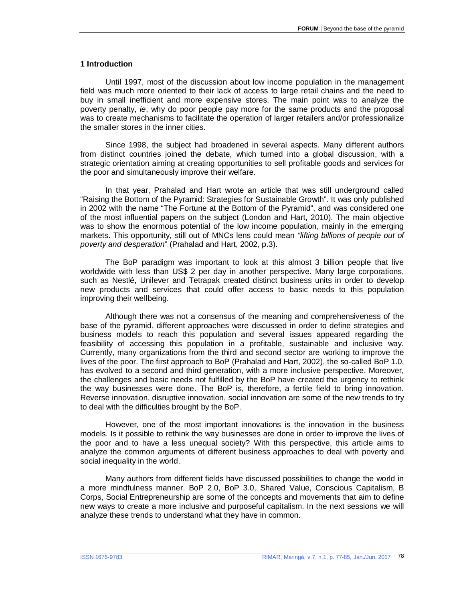### **1 Introduction**

Until 1997, most of the discussion about low income population in the management field was much more oriented to their lack of access to large retail chains and the need to buy in small inefficient and more expensive stores. The main point was to analyze the poverty penalty, *ie*, why do poor people pay more for the same products and the proposal was to create mechanisms to facilitate the operation of larger retailers and/or professionalize the smaller stores in the inner cities.

Since 1998, the subject had broadened in several aspects. Many different authors from distinct countries joined the debate, which turned into a global discussion, with a strategic orientation aiming at creating opportunities to sell profitable goods and services for the poor and simultaneously improve their welfare.

In that year, Prahalad and Hart wrote an article that was still underground called "Raising the Bottom of the Pyramid: Strategies for Sustainable Growth". It was only published in 2002 with the name "The Fortune at the Bottom of the Pyramid", and was considered one of the most influential papers on the subject (London and Hart, 2010). The main objective was to show the enormous potential of the low income population, mainly in the emerging markets. This opportunity, still out of MNCs lens could mean *"lifting billions of people out of poverty and desperation*" (Prahalad and Hart, 2002, p.3).

The BoP paradigm was important to look at this almost 3 billion people that live worldwide with less than US\$ 2 per day in another perspective. Many large corporations, such as Nestlé, Unilever and Tetrapak created distinct business units in order to develop new products and services that could offer access to basic needs to this population improving their wellbeing.

Although there was not a consensus of the meaning and comprehensiveness of the base of the pyramid, different approaches were discussed in order to define strategies and business models to reach this population and several issues appeared regarding the feasibility of accessing this population in a profitable, sustainable and inclusive way. Currently, many organizations from the third and second sector are working to improve the lives of the poor. The first approach to BoP (Prahalad and Hart, 2002), the so-called BoP 1.0, has evolved to a second and third generation, with a more inclusive perspective. Moreover, the challenges and basic needs not fulfilled by the BoP have created the urgency to rethink the way businesses were done. The BoP is, therefore, a fertile field to bring innovation. Reverse innovation, disruptive innovation, social innovation are some of the new trends to try to deal with the difficulties brought by the BoP.

However, one of the most important innovations is the innovation in the business models. Is it possible to rethink the way businesses are done in order to improve the lives of the poor and to have a less unequal society? With this perspective, this article aims to analyze the common arguments of different business approaches to deal with poverty and social inequality in the world.

Many authors from different fields have discussed possibilities to change the world in a more mindfulness manner. BoP 2.0, BoP 3.0, Shared Value, Conscious Capitalism, B Corps, Social Entrepreneurship are some of the concepts and movements that aim to define new ways to create a more inclusive and purposeful capitalism. In the next sessions we will analyze these trends to understand what they have in common.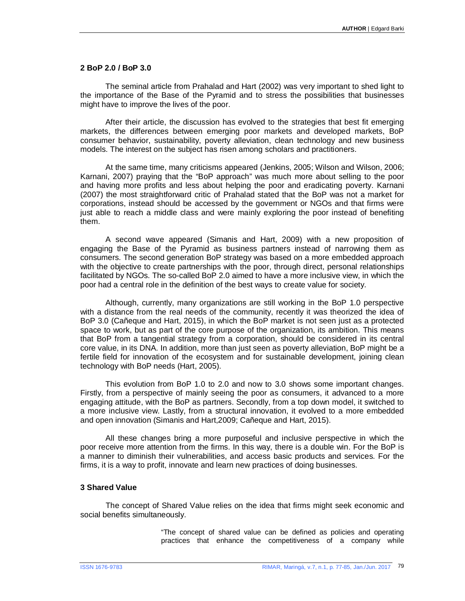# **2 BoP 2.0 / BoP 3.0**

The seminal article from Prahalad and Hart (2002) was very important to shed light to the importance of the Base of the Pyramid and to stress the possibilities that businesses might have to improve the lives of the poor.

After their article, the discussion has evolved to the strategies that best fit emerging markets, the differences between emerging poor markets and developed markets, BoP consumer behavior, sustainability, poverty alleviation, clean technology and new business models. The interest on the subject has risen among scholars and practitioners.

At the same time, many criticisms appeared (Jenkins, 2005; Wilson and Wilson, 2006; Karnani, 2007) praying that the "BoP approach" was much more about selling to the poor and having more profits and less about helping the poor and eradicating poverty. Karnani (2007) the most straightforward critic of Prahalad stated that the BoP was not a market for corporations, instead should be accessed by the government or NGOs and that firms were just able to reach a middle class and were mainly exploring the poor instead of benefiting them.

A second wave appeared (Simanis and Hart, 2009) with a new proposition of engaging the Base of the Pyramid as business partners instead of narrowing them as consumers. The second generation BoP strategy was based on a more embedded approach with the objective to create partnerships with the poor, through direct, personal relationships facilitated by NGOs. The so-called BoP 2.0 aimed to have a more inclusive view, in which the poor had a central role in the definition of the best ways to create value for society.

Although, currently, many organizations are still working in the BoP 1.0 perspective with a distance from the real needs of the community, recently it was theorized the idea of BoP 3.0 (Cañeque and Hart, 2015), in which the BoP market is not seen just as a protected space to work, but as part of the core purpose of the organization, its ambition. This means that BoP from a tangential strategy from a corporation, should be considered in its central core value, in its DNA. In addition, more than just seen as poverty alleviation, BoP might be a fertile field for innovation of the ecosystem and for sustainable development, joining clean technology with BoP needs (Hart, 2005).

This evolution from BoP 1.0 to 2.0 and now to 3.0 shows some important changes. Firstly, from a perspective of mainly seeing the poor as consumers, it advanced to a more engaging attitude, with the BoP as partners. Secondly, from a top down model, it switched to a more inclusive view. Lastly, from a structural innovation, it evolved to a more embedded and open innovation (Simanis and Hart,2009; Cañeque and Hart, 2015).

All these changes bring a more purposeful and inclusive perspective in which the poor receive more attention from the firms. In this way, there is a double win. For the BoP is a manner to diminish their vulnerabilities, and access basic products and services. For the firms, it is a way to profit, innovate and learn new practices of doing businesses.

### **3 Shared Value**

The concept of Shared Value relies on the idea that firms might seek economic and social benefits simultaneously.

> "The concept of shared value can be defined as policies and operating practices that enhance the competitiveness of a company while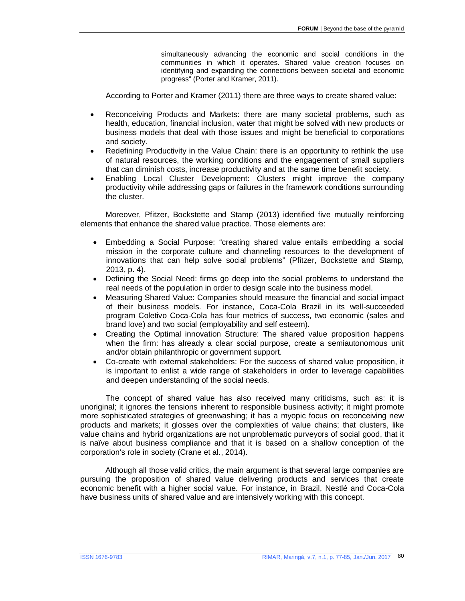simultaneously advancing the economic and social conditions in the communities in which it operates. Shared value creation focuses on identifying and expanding the connections between societal and economic progress" (Porter and Kramer, 2011).

According to Porter and Kramer (2011) there are three ways to create shared value:

- Reconceiving Products and Markets: there are many societal problems, such as health, education, financial inclusion, water that might be solved with new products or business models that deal with those issues and might be beneficial to corporations and society.
- Redefining Productivity in the Value Chain: there is an opportunity to rethink the use of natural resources, the working conditions and the engagement of small suppliers that can diminish costs, increase productivity and at the same time benefit society.
- Enabling Local Cluster Development: Clusters might improve the company productivity while addressing gaps or failures in the framework conditions surrounding the cluster.

Moreover, Pfitzer, Bockstette and Stamp (2013) identified five mutually reinforcing elements that enhance the shared value practice. Those elements are:

- Embedding a Social Purpose: "creating shared value entails embedding a social mission in the corporate culture and channeling resources to the development of innovations that can help solve social problems" (Pfitzer, Bockstette and Stamp, 2013, p. 4).
- Defining the Social Need: firms go deep into the social problems to understand the real needs of the population in order to design scale into the business model.
- Measuring Shared Value: Companies should measure the financial and social impact of their business models. For instance, Coca-Cola Brazil in its well-succeeded program Coletivo Coca-Cola has four metrics of success, two economic (sales and brand love) and two social (employability and self esteem).
- Creating the Optimal innovation Structure: The shared value proposition happens when the firm: has already a clear social purpose, create a semiautonomous unit and/or obtain philanthropic or government support.
- Co-create with external stakeholders: For the success of shared value proposition, it is important to enlist a wide range of stakeholders in order to leverage capabilities and deepen understanding of the social needs.

The concept of shared value has also received many criticisms, such as: it is unoriginal; it ignores the tensions inherent to responsible business activity; it might promote more sophisticated strategies of greenwashing; it has a myopic focus on reconceiving new products and markets; it glosses over the complexities of value chains; that clusters, like value chains and hybrid organizations are not unproblematic purveyors of social good, that it is naïve about business compliance and that it is based on a shallow conception of the corporation's role in society (Crane et al., 2014).

Although all those valid critics, the main argument is that several large companies are pursuing the proposition of shared value delivering products and services that create economic benefit with a higher social value. For instance, in Brazil, Nestlé and Coca-Cola have business units of shared value and are intensively working with this concept.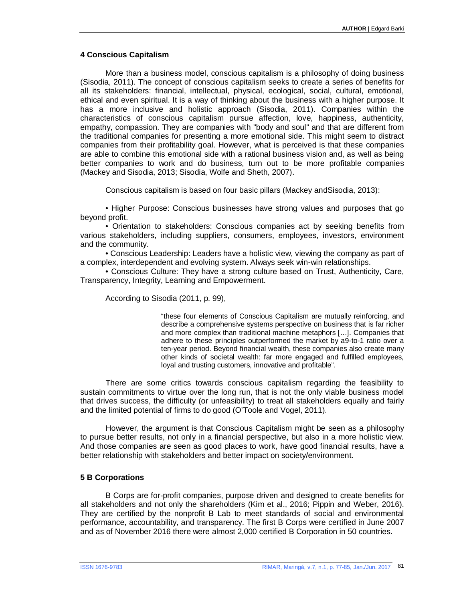# **4 Conscious Capitalism**

More than a business model, conscious capitalism is a philosophy of doing business (Sisodia, 2011). The concept of conscious capitalism seeks to create a series of benefits for all its stakeholders: financial, intellectual, physical, ecological, social, cultural, emotional, ethical and even spiritual. It is a way of thinking about the business with a higher purpose. It has a more inclusive and holistic approach (Sisodia, 2011). Companies within the characteristics of conscious capitalism pursue affection, love, happiness, authenticity, empathy, compassion. They are companies with "body and soul" and that are different from the traditional companies for presenting a more emotional side. This might seem to distract companies from their profitability goal. However, what is perceived is that these companies are able to combine this emotional side with a rational business vision and, as well as being better companies to work and do business, turn out to be more profitable companies (Mackey and Sisodia, 2013; Sisodia, Wolfe and Sheth, 2007).

Conscious capitalism is based on four basic pillars (Mackey andSisodia, 2013):

• Higher Purpose: Conscious businesses have strong values and purposes that go beyond profit.

• Orientation to stakeholders: Conscious companies act by seeking benefits from various stakeholders, including suppliers, consumers, employees, investors, environment and the community.

• Conscious Leadership: Leaders have a holistic view, viewing the company as part of a complex, interdependent and evolving system. Always seek win-win relationships.

• Conscious Culture: They have a strong culture based on Trust, Authenticity, Care, Transparency, Integrity, Learning and Empowerment.

According to Sisodia (2011, p. 99),

"these four elements of Conscious Capitalism are mutually reinforcing, and describe a comprehensive systems perspective on business that is far richer and more complex than traditional machine metaphors […]. Companies that adhere to these principles outperformed the market by a9-to-1 ratio over a ten-year period. Beyond financial wealth, these companies also create many other kinds of societal wealth: far more engaged and fulfilled employees, loyal and trusting customers, innovative and profitable".

There are some critics towards conscious capitalism regarding the feasibility to sustain commitments to virtue over the long run, that is not the only viable business model that drives success, the difficulty (or unfeasibility) to treat all stakeholders equally and fairly and the limited potential of firms to do good (O'Toole and Vogel, 2011).

However, the argument is that Conscious Capitalism might be seen as a philosophy to pursue better results, not only in a financial perspective, but also in a more holistic view. And those companies are seen as good places to work, have good financial results, have a better relationship with stakeholders and better impact on society/environment.

# **5 B Corporations**

B Corps are for-profit companies, purpose driven and designed to create benefits for all stakeholders and not only the shareholders (Kim et al., 2016; Pippin and Weber, 2016). They are certified by the nonprofit B Lab to meet standards of social and environmental performance, accountability, and transparency. The first B Corps were certified in June 2007 and as of November 2016 there were almost 2,000 certified B Corporation in 50 countries.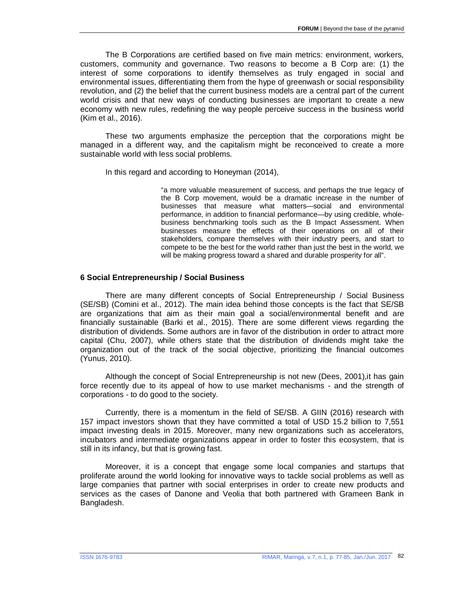The B Corporations are certified based on five main metrics: environment, workers, customers, community and governance. Two reasons to become a B Corp are: (1) the interest of some corporations to identify themselves as truly engaged in social and environmental issues, differentiating them from the hype of greenwash or social responsibility revolution, and (2) the belief that the current business models are a central part of the current world crisis and that new ways of conducting businesses are important to create a new economy with new rules, redefining the way people perceive success in the business world (Kim et al., 2016).

These two arguments emphasize the perception that the corporations might be managed in a different way, and the capitalism might be reconceived to create a more sustainable world with less social problems.

In this regard and according to Honeyman (2014),

"a more valuable measurement of success, and perhaps the true legacy of the B Corp movement, would be a dramatic increase in the number of businesses that measure what matters—social and environmental performance, in addition to financial performance—by using credible, wholebusiness benchmarking tools such as the B Impact Assessment. When businesses measure the effects of their operations on all of their stakeholders, compare themselves with their industry peers, and start to compete to be the best for the world rather than just the best in the world, we will be making progress toward a shared and durable prosperity for all".

### **6 Social Entrepreneurship / Social Business**

There are many different concepts of Social Entrepreneurship / Social Business (SE/SB) (Comini et al., 2012). The main idea behind those concepts is the fact that SE/SB are organizations that aim as their main goal a social/environmental benefit and are financially sustainable (Barki et al., 2015). There are some different views regarding the distribution of dividends. Some authors are in favor of the distribution in order to attract more capital (Chu, 2007), while others state that the distribution of dividends might take the organization out of the track of the social objective, prioritizing the financial outcomes (Yunus, 2010).

Although the concept of Social Entrepreneurship is not new (Dees, 2001),it has gain force recently due to its appeal of how to use market mechanisms - and the strength of corporations - to do good to the society.

Currently, there is a momentum in the field of SE/SB. A GIIN (2016) research with 157 impact investors shown that they have committed a total of USD 15.2 billion to 7,551 impact investing deals in 2015. Moreover, many new organizations such as accelerators, incubators and intermediate organizations appear in order to foster this ecosystem, that is still in its infancy, but that is growing fast.

Moreover, it is a concept that engage some local companies and startups that proliferate around the world looking for innovative ways to tackle social problems as well as large companies that partner with social enterprises in order to create new products and services as the cases of Danone and Veolia that both partnered with Grameen Bank in Bangladesh.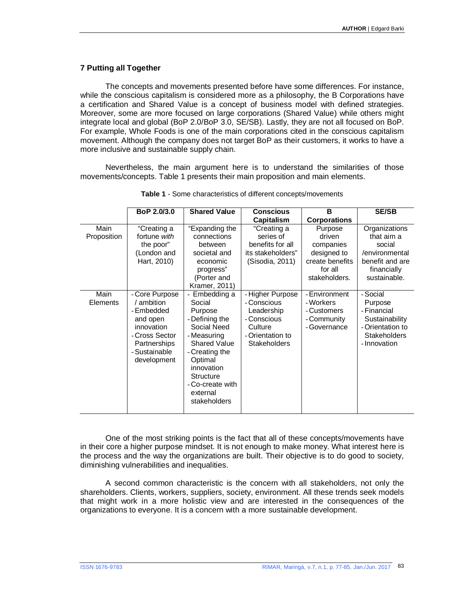# **7 Putting all Together**

The concepts and movements presented before have some differences. For instance, while the conscious capitalism is considered more as a philosophy, the B Corporations have a certification and Shared Value is a concept of business model with defined strategies. Moreover, some are more focused on large corporations (Shared Value) while others might integrate local and global (BoP 2.0/BoP 3.0, SE/SB). Lastly, they are not all focused on BoP. For example, Whole Foods is one of the main corporations cited in the conscious capitalism movement. Although the company does not target BoP as their customers, it works to have a more inclusive and sustainable supply chain.

Nevertheless, the main argument here is to understand the similarities of those movements/concepts. Table 1 presents their main proposition and main elements.

|                     | BoP 2.0/3.0                                                                                                                          | <b>Shared Value</b>                                                                                                                                                                                        | Conscious                                                                                                          | B                                                                                            | <b>SE/SB</b>                                                                                              |
|---------------------|--------------------------------------------------------------------------------------------------------------------------------------|------------------------------------------------------------------------------------------------------------------------------------------------------------------------------------------------------------|--------------------------------------------------------------------------------------------------------------------|----------------------------------------------------------------------------------------------|-----------------------------------------------------------------------------------------------------------|
|                     |                                                                                                                                      |                                                                                                                                                                                                            | Capitalism                                                                                                         | <b>Corporations</b>                                                                          |                                                                                                           |
| Main<br>Proposition | "Creating a<br>fortune with<br>the poor"<br>(London and<br>Hart, 2010)                                                               | "Expanding the<br>connections<br>between<br>societal and<br>economic<br>progress"<br>(Porter and<br>Kramer, 2011)                                                                                          | "Creating a<br>series of<br>benefits for all<br>its stakeholders"<br>(Sisodia, 2011)                               | Purpose<br>driven<br>companies<br>designed to<br>create benefits<br>for all<br>stakeholders. | Organizations<br>that aim a<br>social<br>/environmental<br>benefit and are<br>financially<br>sustainable. |
| Main<br>Elements    | - Core Purpose<br>ambition<br>- Embedded<br>and open<br>innovation<br>- Cross Sector<br>Partnerships<br>- Sustainable<br>development | - Embedding a<br>Social<br>Purpose<br>- Defining the<br>Social Need<br>- Measuring<br>Shared Value<br>- Creating the<br>Optimal<br>innovation<br>Structure<br>- Co-create with<br>external<br>stakeholders | - Higher Purpose<br>- Conscious<br>Leadership<br>- Conscious<br>Culture<br>- Orientation to<br><b>Stakeholders</b> | - Environment<br>- Workers<br>- Customers<br>- Community<br>- Governance                     | - Social<br>Purpose<br>- Financial<br>Sustainability<br>- Orientation to<br>Stakeholders<br>- Innovation  |

**Table 1** - Some characteristics of different concepts/movements

One of the most striking points is the fact that all of these concepts/movements have in their core a higher purpose mindset. It is not enough to make money. What interest here is the process and the way the organizations are built. Their objective is to do good to society, diminishing vulnerabilities and inequalities.

A second common characteristic is the concern with all stakeholders, not only the shareholders. Clients, workers, suppliers, society, environment. All these trends seek models that might work in a more holistic view and are interested in the consequences of the organizations to everyone. It is a concern with a more sustainable development.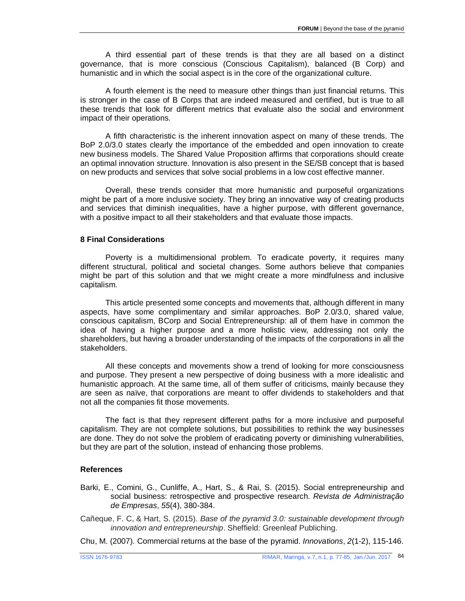A third essential part of these trends is that they are all based on a distinct governance, that is more conscious (Conscious Capitalism), balanced (B Corp) and humanistic and in which the social aspect is in the core of the organizational culture.

A fourth element is the need to measure other things than just financial returns. This is stronger in the case of B Corps that are indeed measured and certified, but is true to all these trends that look for different metrics that evaluate also the social and environment impact of their operations.

A fifth characteristic is the inherent innovation aspect on many of these trends. The BoP 2.0/3.0 states clearly the importance of the embedded and open innovation to create new business models. The Shared Value Proposition affirms that corporations should create an optimal innovation structure. Innovation is also present in the SE/SB concept that is based on new products and services that solve social problems in a low cost effective manner.

Overall, these trends consider that more humanistic and purposeful organizations might be part of a more inclusive society. They bring an innovative way of creating products and services that diminish inequalities, have a higher purpose, with different governance, with a positive impact to all their stakeholders and that evaluate those impacts.

### **8 Final Considerations**

Poverty is a multidimensional problem. To eradicate poverty, it requires many different structural, political and societal changes. Some authors believe that companies might be part of this solution and that we might create a more mindfulness and inclusive capitalism.

This article presented some concepts and movements that, although different in many aspects, have some complimentary and similar approaches. BoP 2.0/3.0, shared value, conscious capitalism, BCorp and Social Entrepreneurship: all of them have in common the idea of having a higher purpose and a more holistic view, addressing not only the shareholders, but having a broader understanding of the impacts of the corporations in all the stakeholders.

All these concepts and movements show a trend of looking for more consciousness and purpose. They present a new perspective of doing business with a more idealistic and humanistic approach. At the same time, all of them suffer of criticisms, mainly because they are seen as naïve, that corporations are meant to offer dividends to stakeholders and that not all the companies fit those movements.

The fact is that they represent different paths for a more inclusive and purposeful capitalism. They are not complete solutions, but possibilities to rethink the way businesses are done. They do not solve the problem of eradicating poverty or diminishing vulnerabilities, but they are part of the solution, instead of enhancing those problems.

# **References**

- Barki, E., Comini, G., Cunliffe, A., Hart, S., & Rai, S. (2015). Social entrepreneurship and social business: retrospective and prospective research. *Revista de Administração de Empresas*, *55*(4), 380-384.
- Cañeque, F. C, & Hart, S. (2015). *Base of the pyramid 3.0: sustainable development through innovation and entrepreneurship*. Sheffield: Greenleaf Publiching.

Chu, M. (2007). Commercial returns at the base of the pyramid. *Innovations*, *2*(1-2), 115-146.